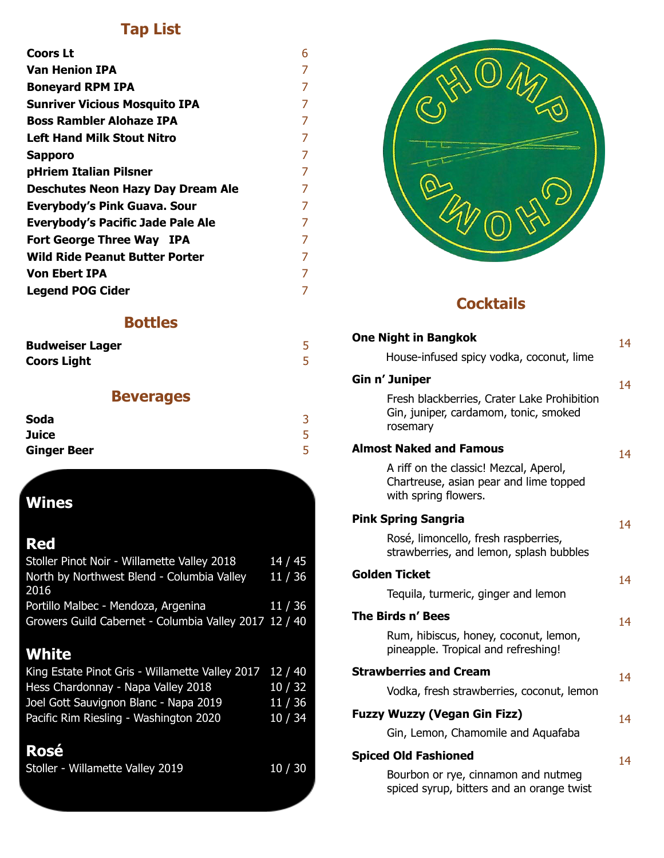#### **Tap List**

| <b>Coors Lt</b>                          | 6 |
|------------------------------------------|---|
| <b>Van Henion IPA</b>                    | 7 |
| <b>Boneyard RPM IPA</b>                  | 7 |
| <b>Sunriver Vicious Mosquito IPA</b>     | 7 |
| <b>Boss Rambler Alohaze IPA</b>          | 7 |
| <b>Left Hand Milk Stout Nitro</b>        | 7 |
| <b>Sapporo</b>                           | 7 |
| pHriem Italian Pilsner                   | 7 |
| <b>Deschutes Neon Hazy Day Dream Ale</b> | 7 |
| <b>Everybody's Pink Guava. Sour</b>      | 7 |
| <b>Everybody's Pacific Jade Pale Ale</b> | 7 |
| Fort George Three Way IPA                | 7 |
| <b>Wild Ride Peanut Butter Porter</b>    | 7 |
| <b>Von Ebert IPA</b>                     | 7 |
| <b>Legend POG Cider</b>                  | 7 |
|                                          |   |

#### **Bottles**

| <b>Budweiser Lager</b> |  |
|------------------------|--|
| <b>Coors Light</b>     |  |

#### **Beverages**

| <b>Soda</b>        |  |
|--------------------|--|
| <b>Juice</b>       |  |
| <b>Ginger Beer</b> |  |

## **Wines**

#### **Red**

| Stoller Pinot Noir - Willamette Valley 2018           | 14/45   |
|-------------------------------------------------------|---------|
| North by Northwest Blend - Columbia Valley            | 11 / 36 |
| 2016                                                  |         |
| Portillo Malbec - Mendoza, Argenina                   | 11 / 36 |
| Growers Guild Cabernet - Columbia Valley 2017 12 / 40 |         |
|                                                       |         |

# **White**

| King Estate Pinot Gris - Willamette Valley 2017 12 / 40 |         |
|---------------------------------------------------------|---------|
| Hess Chardonnay - Napa Valley 2018                      | 10 / 32 |
| Joel Gott Sauvignon Blanc - Napa 2019                   | 11/36   |
| Pacific Rim Riesling - Washington 2020                  | 10/34   |
|                                                         |         |

# **Rosé**

| 10/30<br>Stoller - Willamette Valley 2019 |  |
|-------------------------------------------|--|
|-------------------------------------------|--|



#### **Cocktails**

| <b>One Night in Bangkok</b>                                                                              | 14 |
|----------------------------------------------------------------------------------------------------------|----|
| House-infused spicy vodka, coconut, lime                                                                 |    |
| Gin n' Juniper                                                                                           | 14 |
| Fresh blackberries, Crater Lake Prohibition<br>Gin, juniper, cardamom, tonic, smoked<br>rosemary         |    |
| <b>Almost Naked and Famous</b>                                                                           | 14 |
| A riff on the classic! Mezcal, Aperol,<br>Chartreuse, asian pear and lime topped<br>with spring flowers. |    |
| <b>Pink Spring Sangria</b>                                                                               | 14 |
| Rosé, limoncello, fresh raspberries,<br>strawberries, and lemon, splash bubbles                          |    |
| <b>Golden Ticket</b>                                                                                     | 14 |
| Tequila, turmeric, ginger and lemon                                                                      |    |
| The Birds n' Bees                                                                                        | 14 |
| Rum, hibiscus, honey, coconut, lemon,<br>pineapple. Tropical and refreshing!                             |    |
| <b>Strawberries and Cream</b>                                                                            | 14 |
| Vodka, fresh strawberries, coconut, lemon                                                                |    |
| <b>Fuzzy Wuzzy (Vegan Gin Fizz)</b>                                                                      | 14 |
| Gin, Lemon, Chamomile and Aquafaba                                                                       |    |
| <b>Spiced Old Fashioned</b>                                                                              | 14 |
| Bourbon or rye, cinnamon and nutmeg                                                                      |    |

spiced syrup, bitters and an orange twist